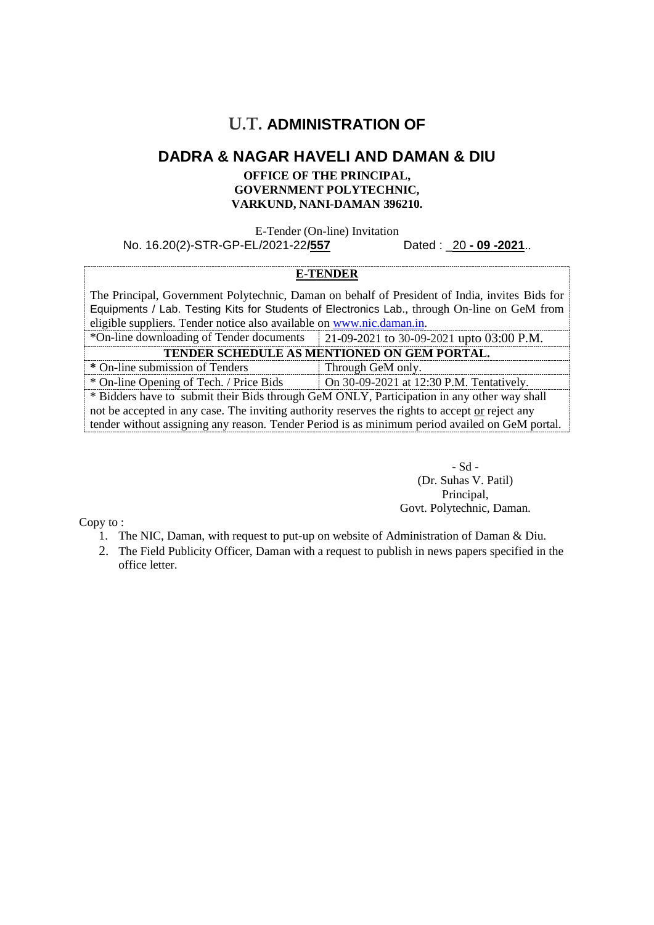## **U.T. ADMINISTRATION OF**

### **DADRA & NAGAR HAVELI AND DAMAN & DIU**

#### **OFFICE OF THE PRINCIPAL, GOVERNMENT POLYTECHNIC, VARKUND, NANI-DAMAN 396210***.*

E-Tender (On-line) Invitation No. 16.20(2)-STR-GP-EL/2021-22**/557** Dated : \_20 **- 09 -2021**..

#### **E-TENDER**

The Principal, Government Polytechnic, Daman on behalf of President of India, invites Bids for Equipments / Lab. Testing Kits for Students of Electronics Lab., through On-line on GeM from eligible suppliers. Tender notice also available on [www.nic.daman.in.](http://www.nic.daman.in/)

| *On-line downloading of Tender documents                                                        | 21-09-2021 to 30-09-2021 upto 03:00 P.M. |  |
|-------------------------------------------------------------------------------------------------|------------------------------------------|--|
| TENDER SCHEDULE AS MENTIONED ON GEM PORTAL.                                                     |                                          |  |
| * On-line submission of Tenders                                                                 | Through GeM only.                        |  |
| * On-line Opening of Tech. / Price Bids                                                         | On 30-09-2021 at 12:30 P.M. Tentatively. |  |
| * Bidders have to submit their Bids through GeM ONLY, Participation in any other way shall      |                                          |  |
| not be accepted in any case. The inviting authority reserves the rights to accept or reject any |                                          |  |
| tender without assigning any reason. Tender Period is as minimum period availed on GeM portal.  |                                          |  |
|                                                                                                 |                                          |  |

- Sd - (Dr. Suhas V. Patil) Principal, Govt. Polytechnic, Daman.

Copy to :

- 1. The NIC, Daman, with request to put-up on website of Administration of Daman & Diu.
- 2. The Field Publicity Officer, Daman with a request to publish in news papers specified in the office letter.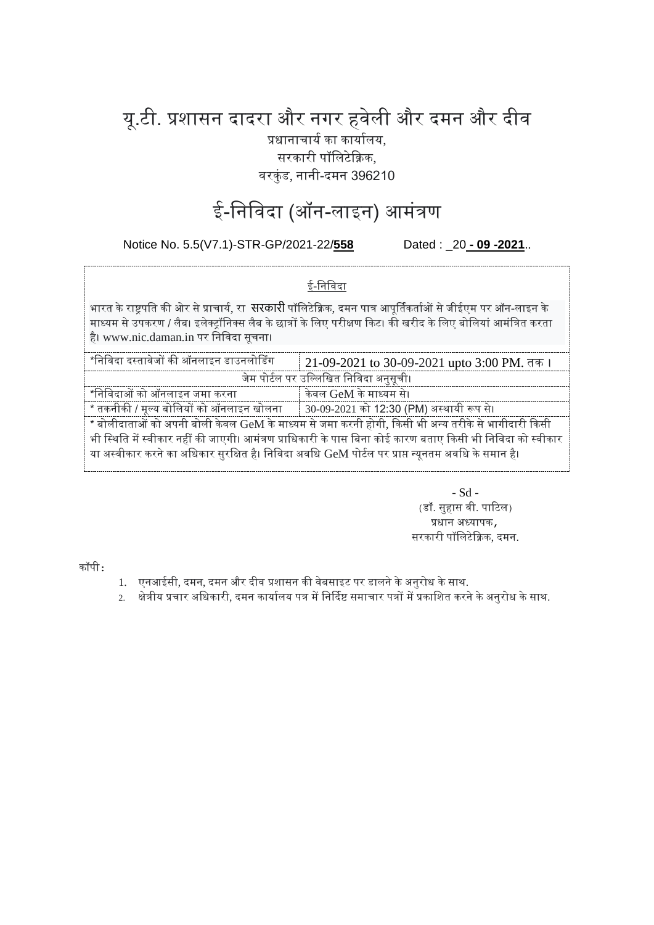# यू.टी. प्रशासन दादरा और नगर हवेली और दमन और दीव

प्रधानाचार्य का कार्यालय, सरकारी पॉलिटेक्निक,

वरकुंड, नानी-दमन 396210

# ई-निविदा (ऑन-लाइन) आमंत्रण

Notice No. 5.5(V7.1)-STR-GP/2021-22/**558** Dated : \_20 **- 09 -2021**..

### ई-लनलवदा

भारत के राष्ट्रपति की ओर से प्राचार्य, रा **सरकारी** पॉलिटेक्निक, दमन पात्र आपूर्तिकर्ताओं से जीईएम पर ऑन-लाइन के माध्यम से उपकरण / लैब। इलेक्ट्रॉनिक्स लैब के छात्रों के लिए परीक्षण किट। की खरीद के लिए बोलियां आमंत्रित करता है। www.nic.daman.in पर लनलवदा सूचना।

| *निविदा दस्तावेजों की ऑनलाइन डाउनलोडिंग                                                                     | 21-09-2021 to 30-09-2021 upto 3:00 PM. तक। |  |
|-------------------------------------------------------------------------------------------------------------|--------------------------------------------|--|
| जेम पोर्टल पर उल्लिखित निविदा अनुसूची।                                                                      |                                            |  |
| *निविदाओं को ऑनलाइन जमा करना                                                                                | केवल GeM के माध्यम से।                     |  |
| * तकनीकी / मूल्य बोलियों को ऑनलाइन खोलना       30-09-2021 को 12:30 (PM) अस्थायी रूप से।                     |                                            |  |
| * बोलीदाताओं को अपनी बोली केवल GeM के माध्यम से जमा करनी होगी, किसी भी अन्य तरीके से भागीदारी किसी          |                                            |  |
| भी स्थिति में स्वीकार नहीं की जाएगी। आमंत्रण प्राधिकारी के पास बिना कोई कारण बताए किसी भी निविदा को स्वीकार |                                            |  |
| या अस्वीकार करने का अधिकार सुरक्षित है। निविदा अवधि GeM पोर्टल पर प्राप्त न्यूनतम अवधि के समान है।          |                                            |  |

- Sd - (डॉ. सुहास वी. पाटिल) प्रधान अध्यापक, सरकारी पॉललटेक्निक, दमन.

कॉपी:

- 1. एनआईसी, दमन, दमन और दीव प्रशासन की वेबसाइट पर डालने के अनुरोध के साथ.
- 2. क्षेत्रीय प्रचार अधिकारी, दमन कार्यालय पत्र में निर्दिष्ट समाचार पत्रों में प्रकाशित करने के अनरोध के साथ.